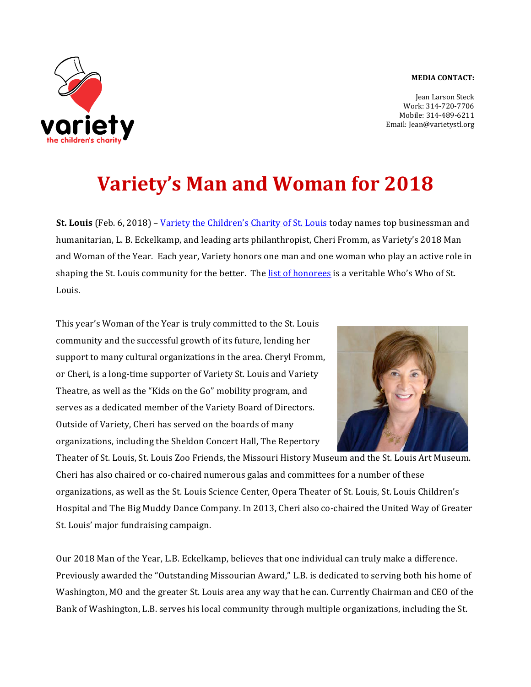## **MEDIA CONTACT:**



Jean Larson Steck Work: 314-720-7706 Mobile: 314-489-6211 Email: Jean@varietystl.org

## **Variety's Man and Woman for 2018**

**St. Louis** (Feb. 6, 2018) – Variety the Children's Charity of St. Louis today names top businessman and humanitarian, L. B. Eckelkamp, and leading arts philanthropist, Cheri Fromm, as Variety's 2018 Man and Woman of the Year. Each year, Variety honors one man and one woman who play an active role in shaping the St. Louis community for the better. The list of honorees is a veritable Who's Who of St. Louis. 

This year's Woman of the Year is truly committed to the St. Louis community and the successful growth of its future, lending her support to many cultural organizations in the area. Cheryl Fromm, or Cheri, is a long-time supporter of Variety St. Louis and Variety Theatre, as well as the "Kids on the Go" mobility program, and serves as a dedicated member of the Variety Board of Directors. Outside of Variety, Cheri has served on the boards of many organizations, including the Sheldon Concert Hall, The Repertory



Theater of St. Louis, St. Louis Zoo Friends, the Missouri History Museum and the St. Louis Art Museum. Cheri has also chaired or co-chaired numerous galas and committees for a number of these organizations, as well as the St. Louis Science Center, Opera Theater of St. Louis, St. Louis Children's Hospital and The Big Muddy Dance Company. In 2013, Cheri also co-chaired the United Way of Greater St. Louis' major fundraising campaign.

Our 2018 Man of the Year, L.B. Eckelkamp, believes that one individual can truly make a difference. Previously awarded the "Outstanding Missourian Award," L.B. is dedicated to serving both his home of Washington, MO and the greater St. Louis area any way that he can. Currently Chairman and CEO of the Bank of Washington, L.B. serves his local community through multiple organizations, including the St.